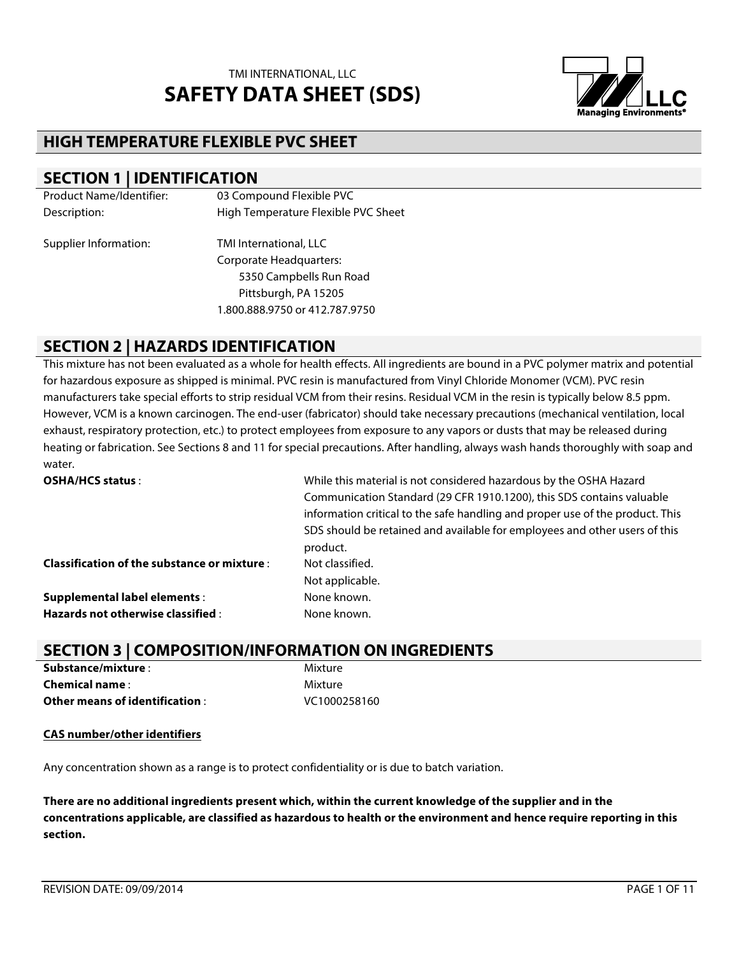

### **HIGH TEMPERATURE FLEXIBLE PVC SHEET**

### **SECTION 1 | IDENTIFICATION**

| <b>Product Name/Identifier:</b> | 03 Compound Flexible PVC            |
|---------------------------------|-------------------------------------|
| Description:                    | High Temperature Flexible PVC Sheet |
| Supplier Information:           | TMI International, LLC              |
|                                 | <b>Corporate Headquarters:</b>      |
|                                 | 5350 Campbells Run Road             |
|                                 | Pittsburgh, PA 15205                |
|                                 | 1.800.888.9750 or 412.787.9750      |

### **SECTION 2 | HAZARDS IDENTIFICATION**

This mixture has not been evaluated as a whole for health effects. All ingredients are bound in a PVC polymer matrix and potential for hazardous exposure as shipped is minimal. PVC resin is manufactured from Vinyl Chloride Monomer (VCM). PVC resin manufacturers take special efforts to strip residual VCM from their resins. Residual VCM in the resin is typically below 8.5 ppm. However, VCM is a known carcinogen. The end-user (fabricator) should take necessary precautions (mechanical ventilation, local exhaust, respiratory protection, etc.) to protect employees from exposure to any vapors or dusts that may be released during heating or fabrication. See Sections 8 and 11 for special precautions. After handling, always wash hands thoroughly with soap and water.

| <b>OSHA/HCS status:</b>                            | While this material is not considered hazardous by the OSHA Hazard            |
|----------------------------------------------------|-------------------------------------------------------------------------------|
|                                                    | Communication Standard (29 CFR 1910.1200), this SDS contains valuable         |
|                                                    | information critical to the safe handling and proper use of the product. This |
|                                                    | SDS should be retained and available for employees and other users of this    |
|                                                    | product.                                                                      |
| <b>Classification of the substance or mixture:</b> | Not classified.                                                               |
|                                                    | Not applicable.                                                               |
| <b>Supplemental label elements:</b>                | None known.                                                                   |
| Hazards not otherwise classified :                 | None known.                                                                   |

## **SECTION 3 | COMPOSITION/INFORMATION ON INGREDIENTS**

| Substance/mixture :             | Mixture      |
|---------------------------------|--------------|
| <b>Chemical name:</b>           | Mixture      |
| Other means of identification : | VC1000258160 |

#### **CAS number/other identifiers**

Any concentration shown as a range is to protect confidentiality or is due to batch variation.

**There are no additional ingredients present which, within the current knowledge of the supplier and in the concentrations applicable, are classified as hazardous to health or the environment and hence require reporting in this section.**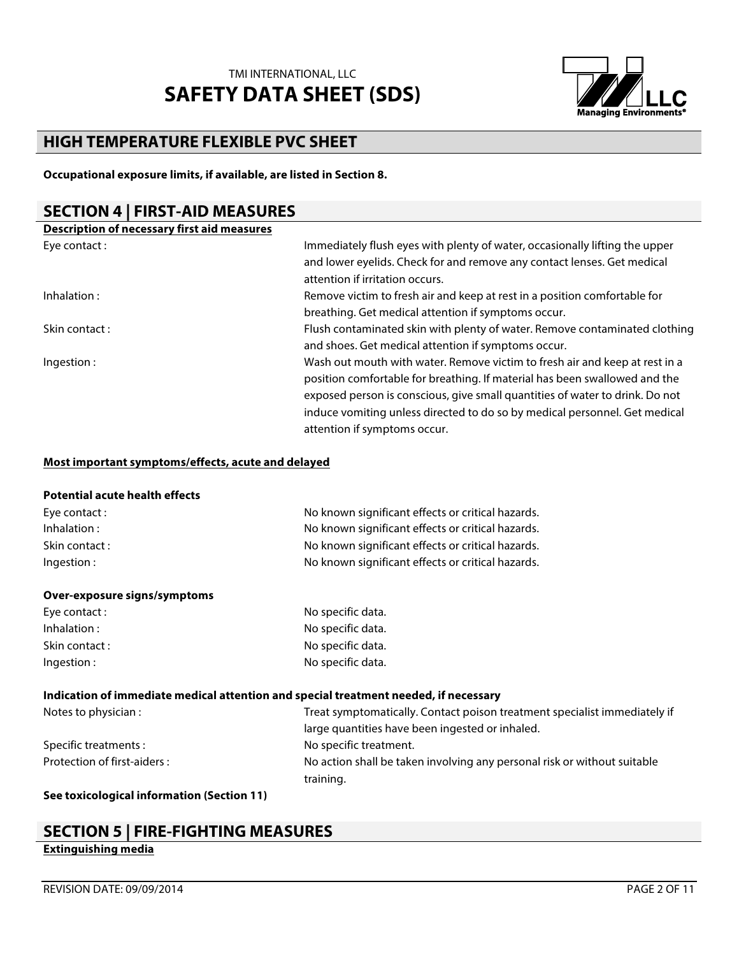

### **HIGH TEMPERATURE FLEXIBLE PVC SHEET**

**Occupational exposure limits, if available, are listed in Section 8.**

### **SECTION 4 | FIRST-AID MEASURES**

| <b>Description of necessary first aid measures</b> |                                                                              |
|----------------------------------------------------|------------------------------------------------------------------------------|
| Eye contact:                                       | Immediately flush eyes with plenty of water, occasionally lifting the upper  |
|                                                    | and lower eyelids. Check for and remove any contact lenses. Get medical      |
|                                                    | attention if irritation occurs.                                              |
| Inhalation:                                        | Remove victim to fresh air and keep at rest in a position comfortable for    |
|                                                    | breathing. Get medical attention if symptoms occur.                          |
| Skin contact:                                      | Flush contaminated skin with plenty of water. Remove contaminated clothing   |
|                                                    | and shoes. Get medical attention if symptoms occur.                          |
| Ingestion:                                         | Wash out mouth with water. Remove victim to fresh air and keep at rest in a  |
|                                                    | position comfortable for breathing. If material has been swallowed and the   |
|                                                    | exposed person is conscious, give small quantities of water to drink. Do not |
|                                                    | induce vomiting unless directed to do so by medical personnel. Get medical   |
|                                                    | attention if symptoms occur.                                                 |

#### **Most important symptoms/effects, acute and delayed**

#### **Potential acute health effects**

| Eye contact :  | No known significant effects or critical hazards. |
|----------------|---------------------------------------------------|
| Inhalation :   | No known significant effects or critical hazards. |
| Skin contact : | No known significant effects or critical hazards. |
| Ingestion :    | No known significant effects or critical hazards. |
|                |                                                   |

#### **Over-exposure signs/symptoms**

| Eye contact :  | No specific data. |
|----------------|-------------------|
| Inhalation:    | No specific data. |
| Skin contact : | No specific data. |
| Ingestion :    | No specific data. |
|                |                   |

#### **Indication of immediate medical attention and special treatment needed, if necessary**

| Notes to physician :        | Treat symptomatically. Contact poison treatment specialist immediately if |
|-----------------------------|---------------------------------------------------------------------------|
|                             | large quantities have been ingested or inhaled.                           |
| Specific treatments:        | No specific treatment.                                                    |
| Protection of first-aiders: | No action shall be taken involving any personal risk or without suitable  |
|                             | training.                                                                 |
|                             |                                                                           |

**See toxicological information (Section 11)**

## **SECTION 5 | FIRE-FIGHTING MEASURES**

#### **Extinguishing media**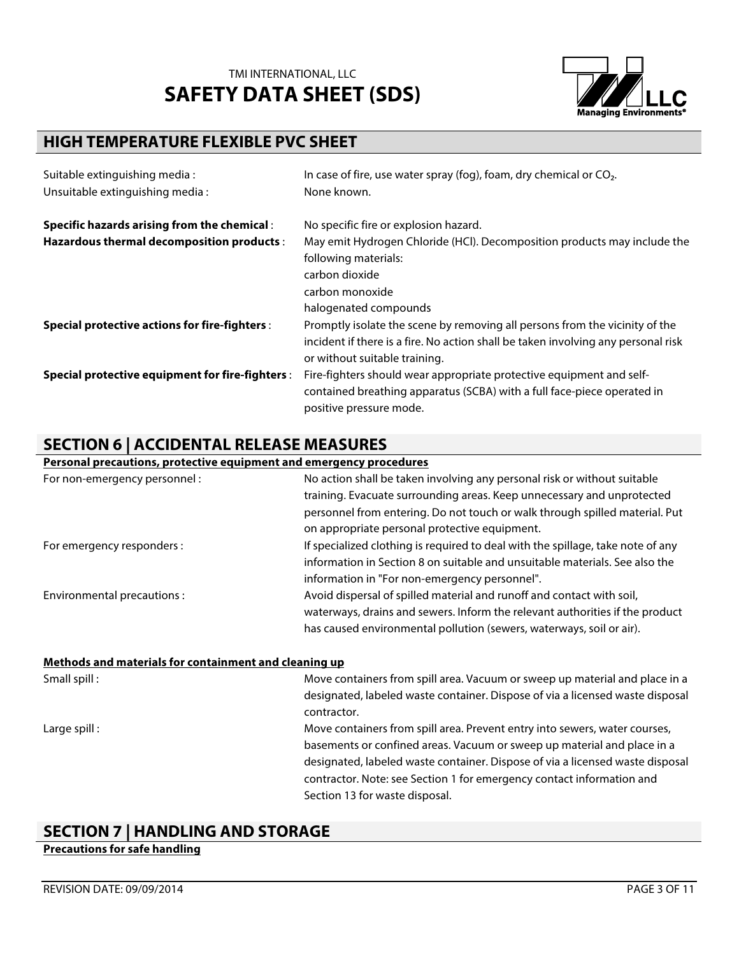

## **HIGH TEMPERATURE FLEXIBLE PVC SHEET**

| Suitable extinguishing media:                        | In case of fire, use water spray (fog), foam, dry chemical or $CO2$ .             |
|------------------------------------------------------|-----------------------------------------------------------------------------------|
| Unsuitable extinguishing media:                      | None known.                                                                       |
| <b>Specific hazards arising from the chemical:</b>   | No specific fire or explosion hazard.                                             |
| Hazardous thermal decomposition products :           | May emit Hydrogen Chloride (HCl). Decomposition products may include the          |
|                                                      | following materials:                                                              |
|                                                      | carbon dioxide                                                                    |
|                                                      | carbon monoxide                                                                   |
|                                                      | halogenated compounds                                                             |
| <b>Special protective actions for fire-fighters:</b> | Promptly isolate the scene by removing all persons from the vicinity of the       |
|                                                      | incident if there is a fire. No action shall be taken involving any personal risk |
|                                                      | or without suitable training.                                                     |
| Special protective equipment for fire-fighters :     | Fire-fighters should wear appropriate protective equipment and self-              |
|                                                      | contained breathing apparatus (SCBA) with a full face-piece operated in           |
|                                                      | positive pressure mode.                                                           |

## **SECTION 6 | ACCIDENTAL RELEASE MEASURES**

### **Personal precautions, protective equipment and emergency procedures**

| For non-emergency personnel :                         | No action shall be taken involving any personal risk or without suitable<br>training. Evacuate surrounding areas. Keep unnecessary and unprotected<br>personnel from entering. Do not touch or walk through spilled material. Put<br>on appropriate personal protective equipment.                                                                |
|-------------------------------------------------------|---------------------------------------------------------------------------------------------------------------------------------------------------------------------------------------------------------------------------------------------------------------------------------------------------------------------------------------------------|
| For emergency responders :                            | If specialized clothing is required to deal with the spillage, take note of any<br>information in Section 8 on suitable and unsuitable materials. See also the<br>information in "For non-emergency personnel".                                                                                                                                   |
| Environmental precautions :                           | Avoid dispersal of spilled material and runoff and contact with soil,<br>waterways, drains and sewers. Inform the relevant authorities if the product<br>has caused environmental pollution (sewers, waterways, soil or air).                                                                                                                     |
| Methods and materials for containment and cleaning up |                                                                                                                                                                                                                                                                                                                                                   |
| Small spill :                                         | Move containers from spill area. Vacuum or sweep up material and place in a<br>designated, labeled waste container. Dispose of via a licensed waste disposal<br>contractor.                                                                                                                                                                       |
| Large spill:                                          | Move containers from spill area. Prevent entry into sewers, water courses,<br>basements or confined areas. Vacuum or sweep up material and place in a<br>designated, labeled waste container. Dispose of via a licensed waste disposal<br>contractor. Note: see Section 1 for emergency contact information and<br>Section 13 for waste disposal. |

### **SECTION 7 | HANDLING AND STORAGE**

#### **Precautions for safe handling**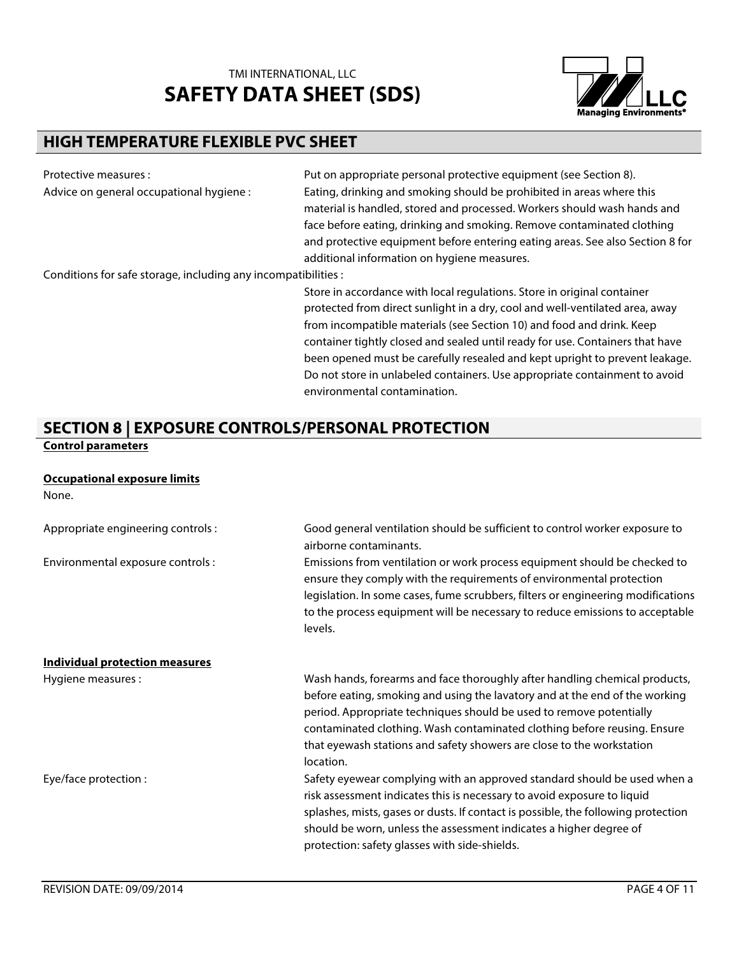

### **HIGH TEMPERATURE FLEXIBLE PVC SHEET**

Protective measures : example and the Put on appropriate personal protective equipment (see Section 8). Advice on general occupational hygiene : Eating, drinking and smoking should be prohibited in areas where this material is handled, stored and processed. Workers should wash hands and face before eating, drinking and smoking. Remove contaminated clothing and protective equipment before entering eating areas. See also Section 8 for additional information on hygiene measures.

Conditions for safe storage, including any incompatibilities :

Store in accordance with local regulations. Store in original container protected from direct sunlight in a dry, cool and well-ventilated area, away from incompatible materials (see Section 10) and food and drink. Keep container tightly closed and sealed until ready for use. Containers that have been opened must be carefully resealed and kept upright to prevent leakage. Do not store in unlabeled containers. Use appropriate containment to avoid environmental contamination.

#### **SECTION 8 | EXPOSURE CONTROLS/PERSONAL PROTECTION Control parameters**

### **Occupational exposure limits**

| None.                              |                                                                                                                                                                                                                                                                                                                                                                                                    |
|------------------------------------|----------------------------------------------------------------------------------------------------------------------------------------------------------------------------------------------------------------------------------------------------------------------------------------------------------------------------------------------------------------------------------------------------|
| Appropriate engineering controls : | Good general ventilation should be sufficient to control worker exposure to<br>airborne contaminants.                                                                                                                                                                                                                                                                                              |
| Environmental exposure controls :  | Emissions from ventilation or work process equipment should be checked to<br>ensure they comply with the requirements of environmental protection<br>legislation. In some cases, fume scrubbers, filters or engineering modifications<br>to the process equipment will be necessary to reduce emissions to acceptable<br>levels.                                                                   |
| Individual protection measures     |                                                                                                                                                                                                                                                                                                                                                                                                    |
| Hygiene measures :                 | Wash hands, forearms and face thoroughly after handling chemical products,<br>before eating, smoking and using the lavatory and at the end of the working<br>period. Appropriate techniques should be used to remove potentially<br>contaminated clothing. Wash contaminated clothing before reusing. Ensure<br>that eyewash stations and safety showers are close to the workstation<br>location. |
| Eye/face protection :              | Safety eyewear complying with an approved standard should be used when a<br>risk assessment indicates this is necessary to avoid exposure to liquid<br>splashes, mists, gases or dusts. If contact is possible, the following protection<br>should be worn, unless the assessment indicates a higher degree of<br>protection: safety glasses with side-shields.                                    |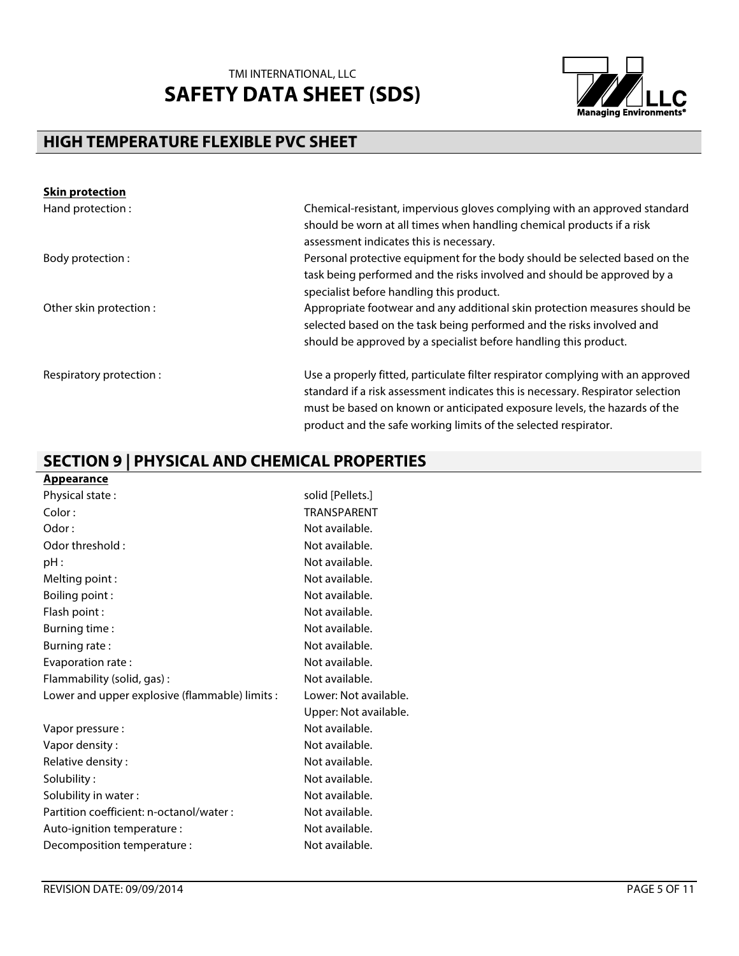

## **HIGH TEMPERATURE FLEXIBLE PVC SHEET**

| <b>Skin protection</b>  |                                                                                                                                                                                                                                                                                                                    |
|-------------------------|--------------------------------------------------------------------------------------------------------------------------------------------------------------------------------------------------------------------------------------------------------------------------------------------------------------------|
| Hand protection:        | Chemical-resistant, impervious gloves complying with an approved standard<br>should be worn at all times when handling chemical products if a risk<br>assessment indicates this is necessary.                                                                                                                      |
| Body protection :       | Personal protective equipment for the body should be selected based on the<br>task being performed and the risks involved and should be approved by a<br>specialist before handling this product.                                                                                                                  |
| Other skin protection : | Appropriate footwear and any additional skin protection measures should be<br>selected based on the task being performed and the risks involved and<br>should be approved by a specialist before handling this product.                                                                                            |
| Respiratory protection: | Use a properly fitted, particulate filter respirator complying with an approved<br>standard if a risk assessment indicates this is necessary. Respirator selection<br>must be based on known or anticipated exposure levels, the hazards of the<br>product and the safe working limits of the selected respirator. |

## **SECTION 9 | PHYSICAL AND CHEMICAL PROPERTIES**

| Appearance                                     |                       |
|------------------------------------------------|-----------------------|
| Physical state:                                | solid [Pellets.]      |
| Color:                                         | <b>TRANSPARENT</b>    |
| Odor:                                          | Not available.        |
| Odor threshold:                                | Not available.        |
| pH:                                            | Not available.        |
| Melting point:                                 | Not available.        |
| Boiling point:                                 | Not available.        |
| Flash point:                                   | Not available.        |
| Burning time:                                  | Not available.        |
| Burning rate:                                  | Not available.        |
| Evaporation rate:                              | Not available.        |
| Flammability (solid, gas):                     | Not available.        |
| Lower and upper explosive (flammable) limits : | Lower: Not available. |
|                                                | Upper: Not available. |
| Vapor pressure :                               | Not available.        |
| Vapor density:                                 | Not available.        |
| Relative density:                              | Not available.        |
| Solubility:                                    | Not available.        |
| Solubility in water:                           | Not available.        |
| Partition coefficient: n-octanol/water :       | Not available.        |
| Auto-ignition temperature :                    | Not available.        |
| Decomposition temperature :                    | Not available.        |
|                                                |                       |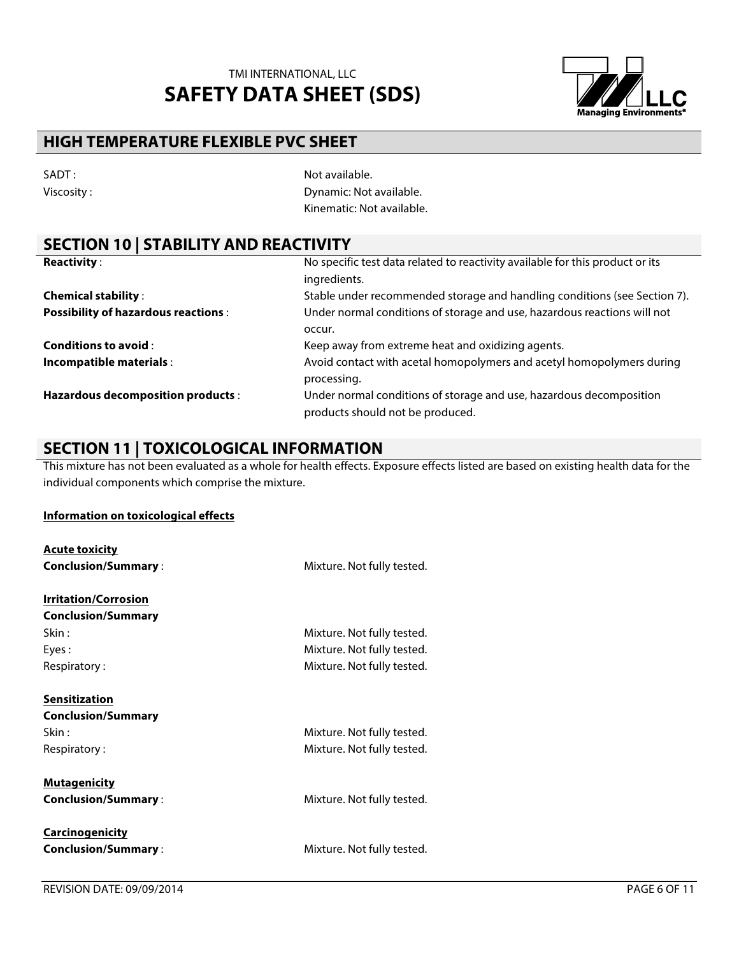

### **HIGH TEMPERATURE FLEXIBLE PVC SHEET**

| SADT:      |  |
|------------|--|
| Viscosity: |  |

Not available. **Viscosity** : External original contracts that the Dynamic: Not available. Kinematic: Not available.

### **SECTION 10 | STABILITY AND REACTIVITY**

| <b>Reactivity:</b>                         | No specific test data related to reactivity available for this product or its |
|--------------------------------------------|-------------------------------------------------------------------------------|
|                                            | ingredients.                                                                  |
| <b>Chemical stability:</b>                 | Stable under recommended storage and handling conditions (see Section 7).     |
| <b>Possibility of hazardous reactions:</b> | Under normal conditions of storage and use, hazardous reactions will not      |
|                                            | occur.                                                                        |
| <b>Conditions to avoid:</b>                | Keep away from extreme heat and oxidizing agents.                             |
| Incompatible materials :                   | Avoid contact with acetal homopolymers and acetyl homopolymers during         |
|                                            | processing.                                                                   |
| Hazardous decomposition products :         | Under normal conditions of storage and use, hazardous decomposition           |
|                                            | products should not be produced.                                              |

### **SECTION 11 | TOXICOLOGICAL INFORMATION**

This mixture has not been evaluated as a whole for health effects. Exposure effects listed are based on existing health data for the individual components which comprise the mixture.

#### **Information on toxicological effects**

| <b>Acute toxicity</b>       |                            |
|-----------------------------|----------------------------|
| <b>Conclusion/Summary:</b>  | Mixture. Not fully tested. |
| <b>Irritation/Corrosion</b> |                            |
| <b>Conclusion/Summary</b>   |                            |
| Skin :                      | Mixture. Not fully tested. |
| Eyes:                       | Mixture. Not fully tested. |
| Respiratory:                | Mixture. Not fully tested. |
| <b>Sensitization</b>        |                            |
| <b>Conclusion/Summary</b>   |                            |
| Skin:                       | Mixture. Not fully tested. |
| Respiratory:                | Mixture. Not fully tested. |
| <b>Mutagenicity</b>         |                            |
| <b>Conclusion/Summary:</b>  | Mixture. Not fully tested. |
| <b>Carcinogenicity</b>      |                            |
| <b>Conclusion/Summary:</b>  | Mixture. Not fully tested. |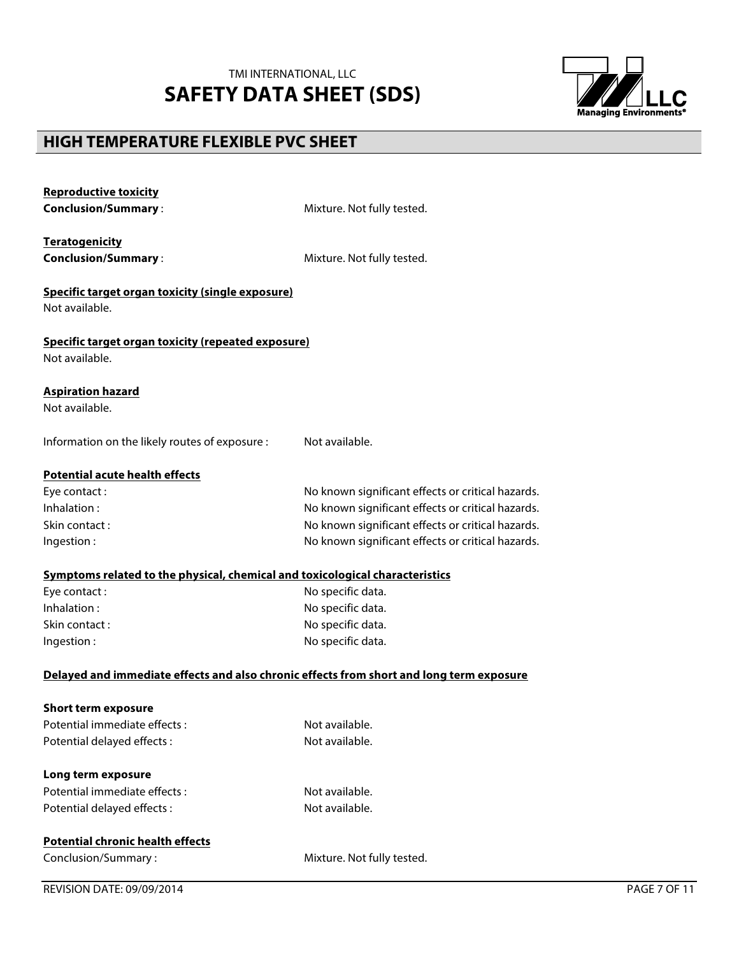

## **HIGH TEMPERATURE FLEXIBLE PVC SHEET**

**Reproductive toxicity**

| <b>Conclusion/Summary:</b>                                                               | Mixture. Not fully tested.                        |
|------------------------------------------------------------------------------------------|---------------------------------------------------|
| <b>Teratogenicity</b>                                                                    |                                                   |
| <b>Conclusion/Summary:</b>                                                               | Mixture. Not fully tested.                        |
| Specific target organ toxicity (single exposure)                                         |                                                   |
| Not available.                                                                           |                                                   |
| Specific target organ toxicity (repeated exposure)                                       |                                                   |
| Not available.                                                                           |                                                   |
| <b>Aspiration hazard</b>                                                                 |                                                   |
| Not available.                                                                           |                                                   |
| Information on the likely routes of exposure :                                           | Not available.                                    |
| <b>Potential acute health effects</b>                                                    |                                                   |
| Eye contact:                                                                             | No known significant effects or critical hazards. |
| Inhalation:                                                                              | No known significant effects or critical hazards. |
| Skin contact:                                                                            | No known significant effects or critical hazards. |
| Ingestion:                                                                               | No known significant effects or critical hazards. |
| Symptoms related to the physical, chemical and toxicological characteristics             |                                                   |
| Eye contact:                                                                             | No specific data.                                 |
| Inhalation:                                                                              | No specific data.                                 |
| Skin contact:                                                                            | No specific data.                                 |
| Ingestion:                                                                               | No specific data.                                 |
| Delayed and immediate effects and also chronic effects from short and long term exposure |                                                   |
| <b>Short term exposure</b>                                                               |                                                   |
| Potential immediate effects:                                                             | Not available.                                    |
| Potential delayed effects :                                                              | Not available.                                    |
| Long term exposure                                                                       |                                                   |
| Potential immediate effects:                                                             | Not available.                                    |
| Potential delayed effects:                                                               | Not available.                                    |
| <b>Potential chronic health effects</b>                                                  |                                                   |
| Conclusion/Summary:                                                                      | Mixture. Not fully tested.                        |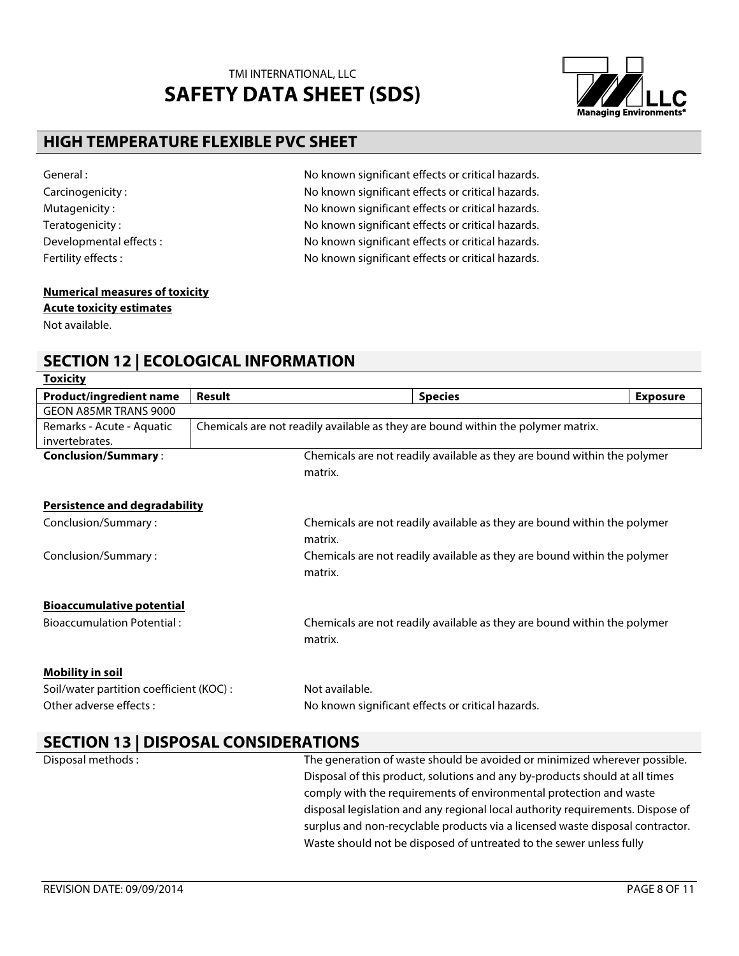

### **HIGH TEMPERATURE FLEXIBLE PVC SHEET**

General : General : No known significant effects or critical hazards. Carcinogenicity : Carcinogenicity : No known significant effects or critical hazards. Mutagenicity :  $\blacksquare$  No known significant effects or critical hazards. Teratogenicity : No known significant effects or critical hazards. Developmental effects : No known significant effects or critical hazards. Fertility effects :  $\blacksquare$  No known significant effects or critical hazards.

#### **Numerical measures of toxicity Acute toxicity estimates**

Not available.

## **SECTION 12 | ECOLOGICAL INFORMATION**

| <b>Toxicity</b>                          |               |                                                                                  |                 |
|------------------------------------------|---------------|----------------------------------------------------------------------------------|-----------------|
| <b>Product/ingredient name</b>           | <b>Result</b> | <b>Species</b>                                                                   | <b>Exposure</b> |
| GEON A85MR TRANS 9000                    |               |                                                                                  |                 |
| Remarks - Acute - Aquatic                |               | Chemicals are not readily available as they are bound within the polymer matrix. |                 |
| invertebrates.                           |               |                                                                                  |                 |
| <b>Conclusion/Summary:</b>               |               | Chemicals are not readily available as they are bound within the polymer         |                 |
|                                          |               | matrix.                                                                          |                 |
| <b>Persistence and degradability</b>     |               |                                                                                  |                 |
| Conclusion/Summary:                      |               | Chemicals are not readily available as they are bound within the polymer         |                 |
|                                          |               | matrix.                                                                          |                 |
| Conclusion/Summary:                      |               | Chemicals are not readily available as they are bound within the polymer         |                 |
|                                          |               | matrix.                                                                          |                 |
| <b>Bioaccumulative potential</b>         |               |                                                                                  |                 |
| <b>Bioaccumulation Potential:</b>        |               | Chemicals are not readily available as they are bound within the polymer         |                 |
|                                          |               | matrix.                                                                          |                 |
| <b>Mobility in soil</b>                  |               |                                                                                  |                 |
| Soil/water partition coefficient (KOC) : |               | Not available.                                                                   |                 |
| Other adverse effects:                   |               | No known significant effects or critical hazards.                                |                 |
| CECTION 12   DICDOCAL CONCIDEDATIONS     |               |                                                                                  |                 |

### **SECTION 13 | DISPOSAL CONSIDERATIONS**

Disposal methods : The generation of waste should be avoided or minimized wherever possible. Disposal of this product, solutions and any by-products should at all times comply with the requirements of environmental protection and waste disposal legislation and any regional local authority requirements. Dispose of surplus and non-recyclable products via a licensed waste disposal contractor. Waste should not be disposed of untreated to the sewer unless fully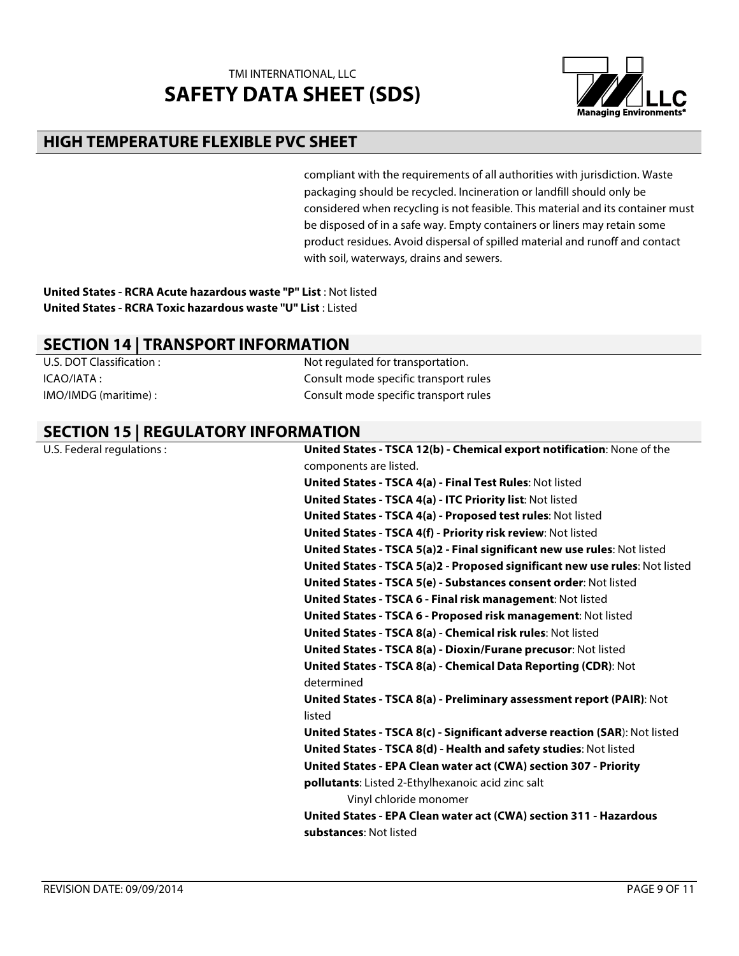

### **HIGH TEMPERATURE FLEXIBLE PVC SHEET**

compliant with the requirements of all authorities with jurisdiction. Waste packaging should be recycled. Incineration or landfill should only be considered when recycling is not feasible. This material and its container must be disposed of in a safe way. Empty containers or liners may retain some product residues. Avoid dispersal of spilled material and runoff and contact with soil, waterways, drains and sewers.

**United States - RCRA Acute hazardous waste "P" List** : Not listed **United States - RCRA Toxic hazardous waste "U" List** : Listed

# **SECTION 14 | TRANSPORT INFORMATION**<br>U.S. DOT Classification

Not regulated for transportation. ICAO/IATA : Consult mode specific transport rules IMO/IMDG (maritime) : Consult mode specific transport rules

### **SECTION 15 | REGULATORY INFORMATION**

U.S. Federal regulations : **United States - TSCA 12(b) - Chemical export notification**: None of the components are listed. **United States - TSCA 4(a) - Final Test Rules**: Not listed **United States - TSCA 4(a) - ITC Priority list**: Not listed **United States - TSCA 4(a) - Proposed test rules**: Not listed **United States - TSCA 4(f) - Priority risk review**: Not listed **United States - TSCA 5(a)2 - Final significant new use rules**: Not listed **United States - TSCA 5(a)2 - Proposed significant new use rules**: Not listed **United States - TSCA 5(e) - Substances consent order**: Not listed **United States - TSCA 6 - Final risk management**: Not listed **United States - TSCA 6 - Proposed risk management**: Not listed **United States - TSCA 8(a) - Chemical risk rules**: Not listed **United States - TSCA 8(a) - Dioxin/Furane precusor**: Not listed **United States - TSCA 8(a) - Chemical Data Reporting (CDR)**: Not determined **United States - TSCA 8(a) - Preliminary assessment report (PAIR)**: Not listed **United States - TSCA 8(c) - Significant adverse reaction (SAR**): Not listed **United States - TSCA 8(d) - Health and safety studies**: Not listed **United States - EPA Clean water act (CWA) section 307 - Priority pollutants**: Listed 2-Ethylhexanoic acid zinc salt Vinyl chloride monomer **United States - EPA Clean water act (CWA) section 311 - Hazardous substances**: Not listed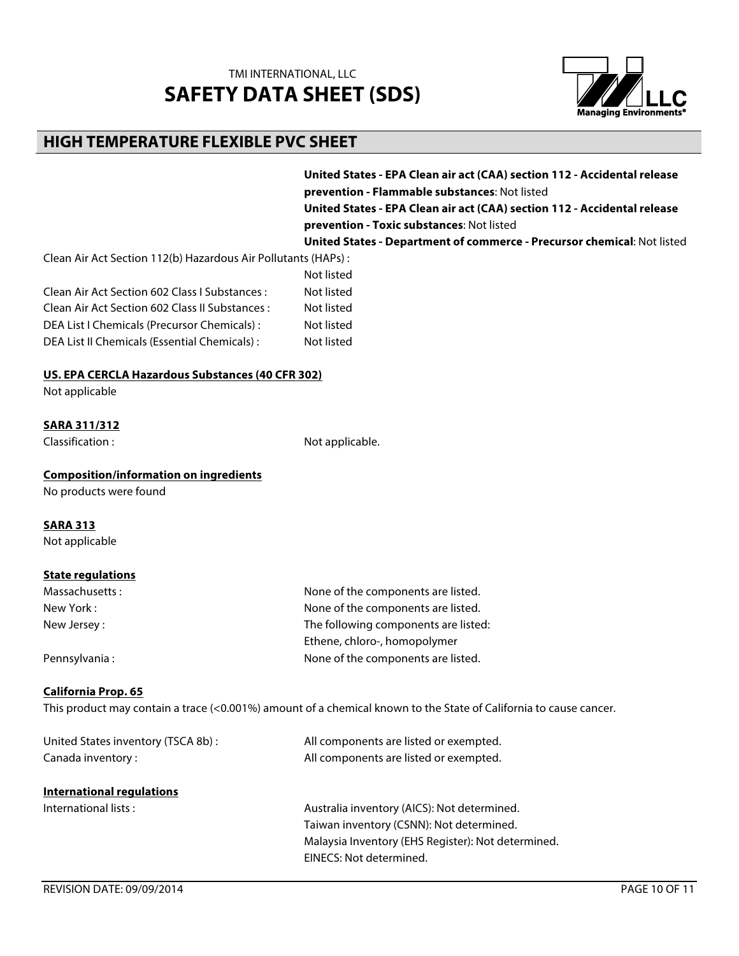

### **HIGH TEMPERATURE FLEXIBLE PVC SHEET**

**United States - EPA Clean air act (CAA) section 112 - Accidental release prevention - Flammable substances**: Not listed

**United States - EPA Clean air act (CAA) section 112 - Accidental release prevention - Toxic substances**: Not listed

**United States - Department of commerce - Precursor chemical**: Not listed

Clean Air Act Section 112(b) Hazardous Air Pollutants (HAPs) :

|                                                | Not listed |
|------------------------------------------------|------------|
| Clean Air Act Section 602 Class   Substances : | Not listed |
| Clean Air Act Section 602 Class II Substances: | Not listed |
| DEA List I Chemicals (Precursor Chemicals) :   | Not listed |
| DEA List II Chemicals (Essential Chemicals):   | Not listed |

#### **US. EPA CERCLA Hazardous Substances (40 CFR 302)**

Not applicable

#### **SARA 311/312**

Classification : Not applicable.

#### **Composition/information on ingredients**

No products were found

#### **SARA 313**

Not applicable

#### **State regulations**

| Massachusetts: | None of the components are listed.   |
|----------------|--------------------------------------|
| New York :     | None of the components are listed.   |
| New Jersey:    | The following components are listed: |
|                | Ethene, chloro-, homopolymer         |
| Pennsylvania:  | None of the components are listed.   |

#### **California Prop. 65**

This product may contain a trace (<0.001%) amount of a chemical known to the State of California to cause cancer.

| United States inventory (TSCA 8b):<br>Canada inventory: | All components are listed or exempted.<br>All components are listed or exempted. |
|---------------------------------------------------------|----------------------------------------------------------------------------------|
| International regulations                               |                                                                                  |
| International lists:                                    | Australia inventory (AICS): Not determined.                                      |
|                                                         | Taiwan inventory (CSNN): Not determined.                                         |
|                                                         | Malaysia Inventory (EHS Register): Not determined.                               |
|                                                         | EINECS: Not determined.                                                          |